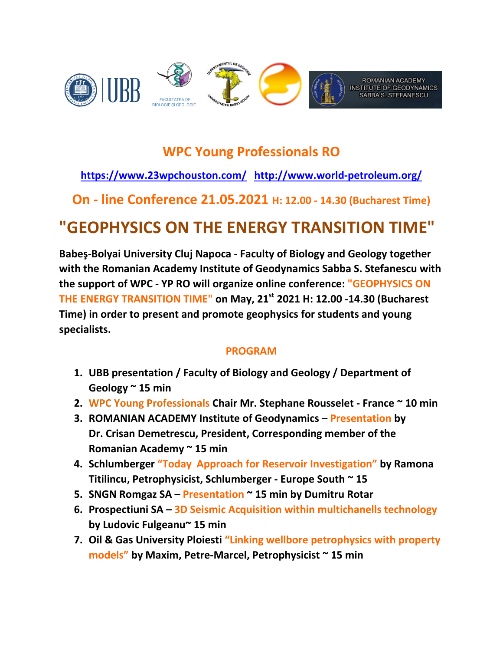

## **WPC Young Professionals RO**

### **<https://www.23wpchouston.com/><http://www.world-petroleum.org/>**

**On - line Conference 21.05.2021 H: 12.00 - 14.30 (Bucharest Time)**

# **"GEOPHYSICS ON THE ENERGY TRANSITION TIME"**

**Babeş-Bolyai University Cluj Napoca - Faculty of Biology and Geology together with the Romanian Academy Institute of Geodynamics Sabba S. Stefanescu with the support of WPC - YP RO will organize online conference: "GEOPHYSICS ON THE ENERGY TRANSITION TIME" on May, 21st 2021 H: 12.00 -14.30 (Bucharest Time) in order to present and promote geophysics for students and young specialists.**

#### **PROGRAM**

- **1. UBB presentation / Faculty of Biology and Geology / Department of Geology ~ 15 min**
- **2. WPC Young Professionals Chair Mr. Stephane Rousselet - France ~ 10 min**
- **3. ROMANIAN ACADEMY Institute of Geodynamics – Presentation by Dr. Crisan Demetrescu, President, Corresponding member of the Romanian Academy ~ 15 min**
- **4. Schlumberger "Today Approach for Reservoir Investigation" by Ramona Titilincu, Petrophysicist, Schlumberger - Europe South ~ 15**
- **5. SNGN Romgaz SA – Presentation ~ 15 min by Dumitru Rotar**
- **6. Prospectiuni SA – 3D Seismic Acquisition within multichanells technology by Ludovic Fulgeanu~ 15 min**
- **7. Oil & Gas University Ploiesti "Linking wellbore petrophysics with property models" by Maxim, Petre-Marcel, Petrophysicist ~ 15 min**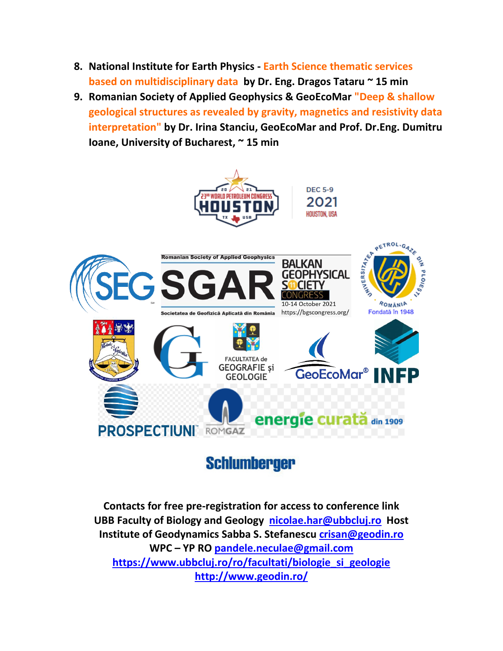- **8. National Institute for Earth Physics - Earth Science thematic services based on multidisciplinary data by Dr. Eng. Dragos Tataru ~ 15 min**
- **9. Romanian Society of Applied Geophysics & GeoEcoMar "Deep & shallow geological structures as revealed by gravity, magnetics and resistivity data interpretation" by Dr. Irina Stanciu, GeoEcoMar and Prof. Dr.Eng. Dumitru Ioane, University of Bucharest, ~ 15 min**



## **Schlumberger**

**Contacts for free pre-registration for access to conference link UBB Faculty of Biology and Geology [nicolae.har@ubbcluj.ro](mailto:nicolae.har@ubbcluj.ro) Host Institute of Geodynamics Sabba S. Stefanescu [crisan@geodin.ro](mailto:crisan@geodin.ro) WPC – YP RO [pandele.neculae@gmail.com](mailto:pandele.neculae@gmail.com) [https://www.ubbcluj.ro/ro/facultati/biologie\\_si\\_geologie](https://www.ubbcluj.ro/ro/facultati/biologie_si_geologie) <http://www.geodin.ro/>**